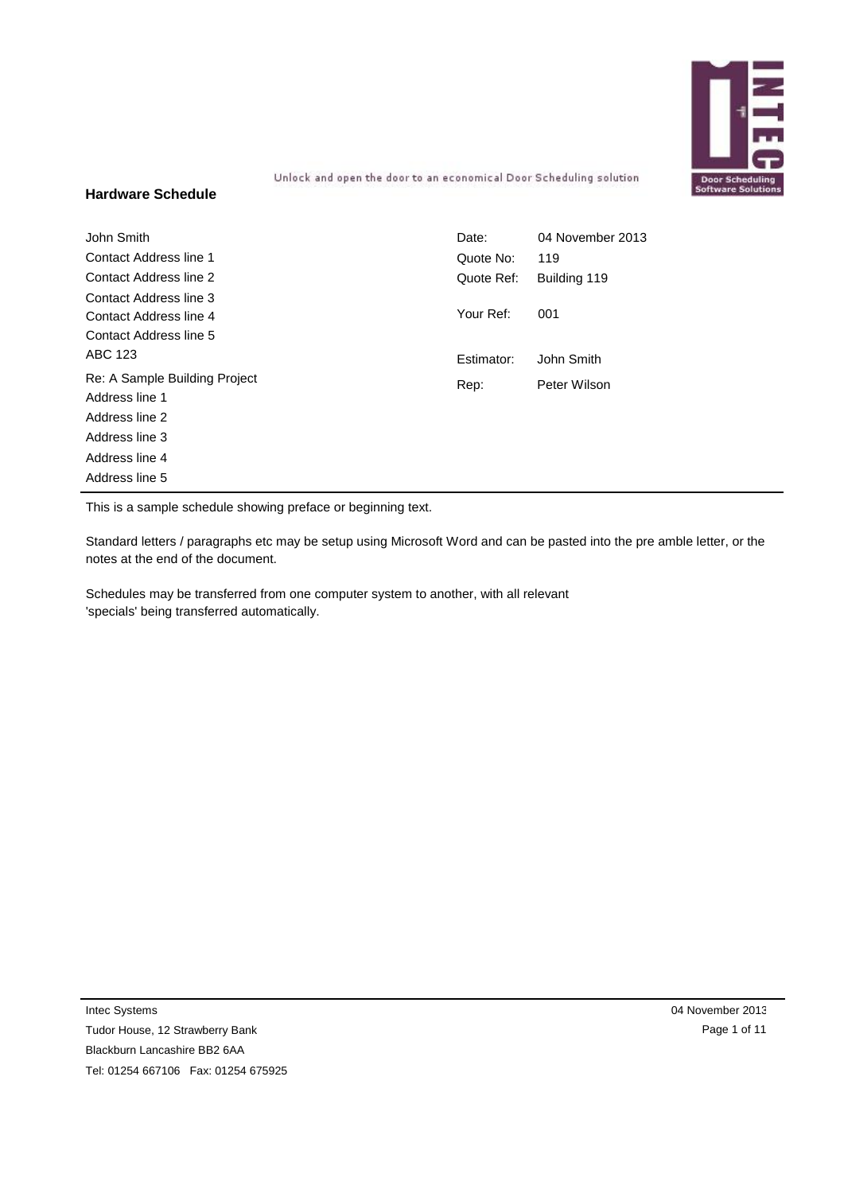

Unlock and open the door to an economical Door Scheduling solution

### **Hardware Schedule**

| John Smith                                      | Date:      | 04 November 2013 |
|-------------------------------------------------|------------|------------------|
| Contact Address line 1                          | Quote No:  | 119              |
| <b>Contact Address line 2</b>                   | Quote Ref: | Building 119     |
| Contact Address line 3                          |            |                  |
| Contact Address line 4                          | Your Ref:  | 001              |
| Contact Address line 5                          |            |                  |
| ABC 123                                         | Estimator: | John Smith       |
| Re: A Sample Building Project<br>Address line 1 | Rep:       | Peter Wilson     |
| Address line 2                                  |            |                  |
| Address line 3                                  |            |                  |
| Address line 4                                  |            |                  |
| Address line 5                                  |            |                  |

This is a sample schedule showing preface or beginning text.

Standard letters / paragraphs etc may be setup using Microsoft Word and can be pasted into the pre amble letter, or the notes at the end of the document.

Schedules may be transferred from one computer system to another, with all relevant 'specials' being transferred automatically.

Intec Systems

Tudor House, 12 Strawberry Bank Blackburn Lancashire BB2 6AA Tel: 01254 667106 Fax: 01254 675925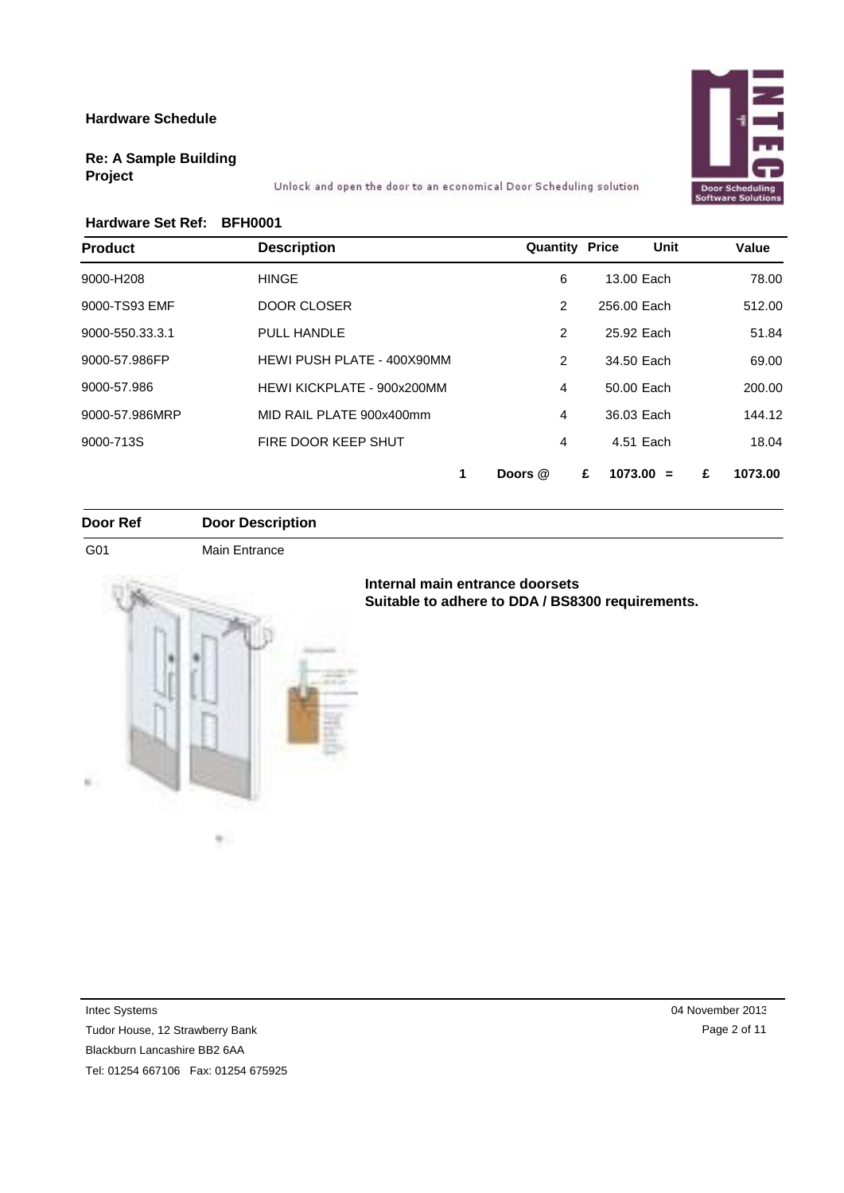

### **Re: A Sample Building Project**

Unlock and open the door to an economical Door Scheduling solution

### **Hardware Set Ref: BFH0001**

| <b>Product</b>  | <b>Description</b>         | <b>Quantity Price</b> | Unit             | Value        |
|-----------------|----------------------------|-----------------------|------------------|--------------|
| 9000-H208       | <b>HINGE</b>               | 6                     | 13.00 Each       | 78.00        |
| 9000-TS93 EMF   | <b>DOOR CLOSER</b>         | $\overline{2}$        | 256.00 Each      | 512.00       |
| 9000-550.33.3.1 | PULL HANDLE                | 2                     | 25.92 Each       | 51.84        |
| 9000-57.986FP   | HEWI PUSH PLATE - 400X90MM | $\overline{2}$        | 34.50 Each       | 69.00        |
| 9000-57.986     | HEWI KICKPLATE - 900x200MM | 4                     | 50.00 Each       | 200.00       |
| 9000-57.986MRP  | MID RAIL PLATE 900x400mm   | 4                     | 36.03 Each       | 144.12       |
| 9000-713S       | FIRE DOOR KEEP SHUT        | 4                     | 4.51 Each        | 18.04        |
|                 |                            | Doors @               | £<br>$1073.00 =$ | 1073.00<br>£ |

**Door Ref Door Description**

G01 Main Entrance



m.,

### **Internal main entrance doorsets Suitable to adhere to DDA / BS8300 requirements.**

Intec Systems

Tudor House, 12 Strawberry Bank

Blackburn Lancashire BB2 6AA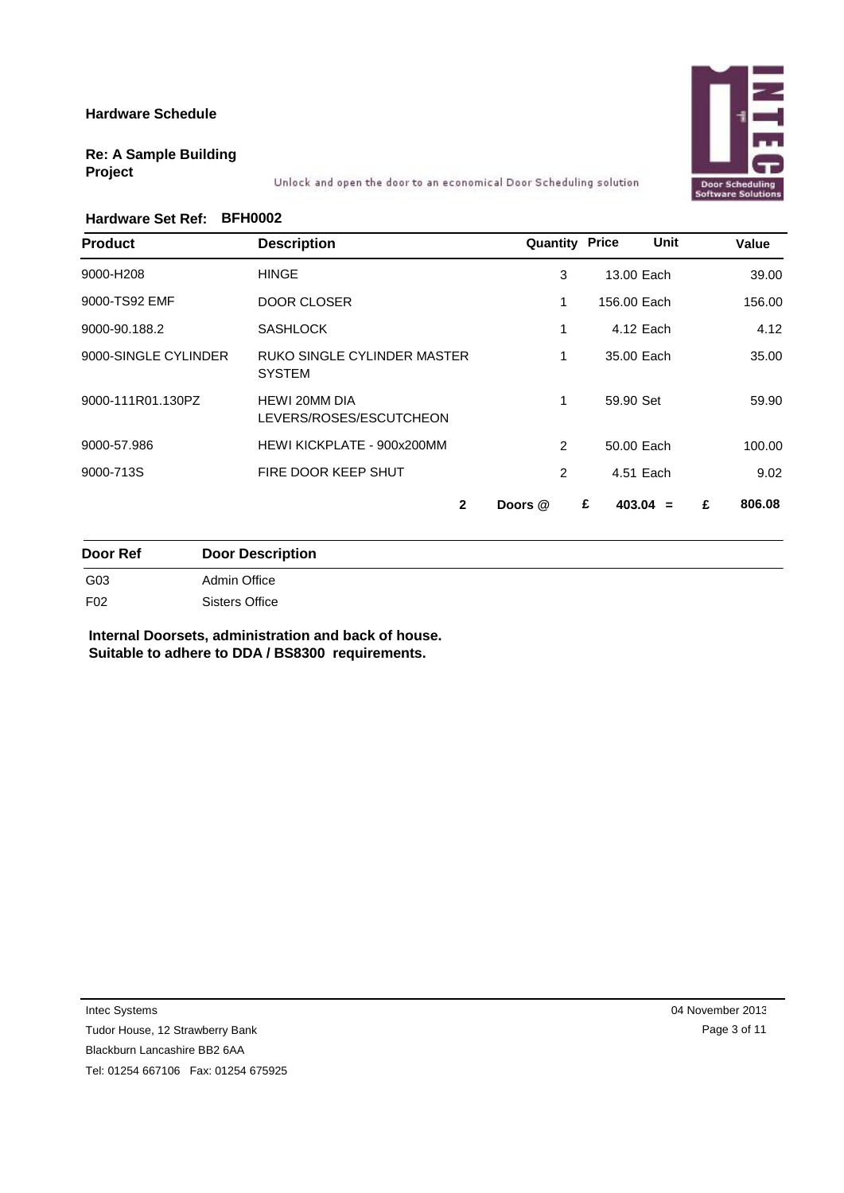## **Door Scheduli**<br>Software Soluti

### **Re: A Sample Building Project**

Unlock and open the door to an economical Door Scheduling solution

### **Hardware Set Ref: BFH0002**

| <b>Product</b>       | <b>Description</b>                                  | <b>Quantity Price</b> | Unit            | Value       |
|----------------------|-----------------------------------------------------|-----------------------|-----------------|-------------|
| 9000-H208            | <b>HINGE</b>                                        | 3                     | 13.00 Each      | 39.00       |
| 9000-TS92 EMF        | <b>DOOR CLOSER</b>                                  | 1                     | 156.00 Each     | 156.00      |
| 9000-90.188.2        | <b>SASHLOCK</b>                                     | 1                     | 4.12 Each       | 4.12        |
| 9000-SINGLE CYLINDER | <b>RUKO SINGLE CYLINDER MASTER</b><br><b>SYSTEM</b> | 1                     | 35.00 Each      | 35.00       |
| 9000-111R01.130PZ    | <b>HEWI 20MM DIA</b><br>LEVERS/ROSES/ESCUTCHEON     | 1                     | 59.90 Set       | 59.90       |
| 9000-57.986          | HEWI KICKPLATE - 900x200MM                          | 2                     | 50.00 Each      | 100.00      |
| 9000-713S            | FIRE DOOR KEEP SHUT                                 | 2                     | 4.51 Each       | 9.02        |
|                      | $\mathbf{2}$                                        | Doors @               | £<br>$403.04 =$ | 806.08<br>£ |

| Door Ref        | <b>Door Description</b> |
|-----------------|-------------------------|
| G03             | Admin Office            |
| F <sub>02</sub> | Sisters Office          |

**Internal Doorsets, administration and back of house. Suitable to adhere to DDA / BS8300 requirements.**

Intec Systems

Tudor House, 12 Strawberry Bank

Blackburn Lancashire BB2 6AA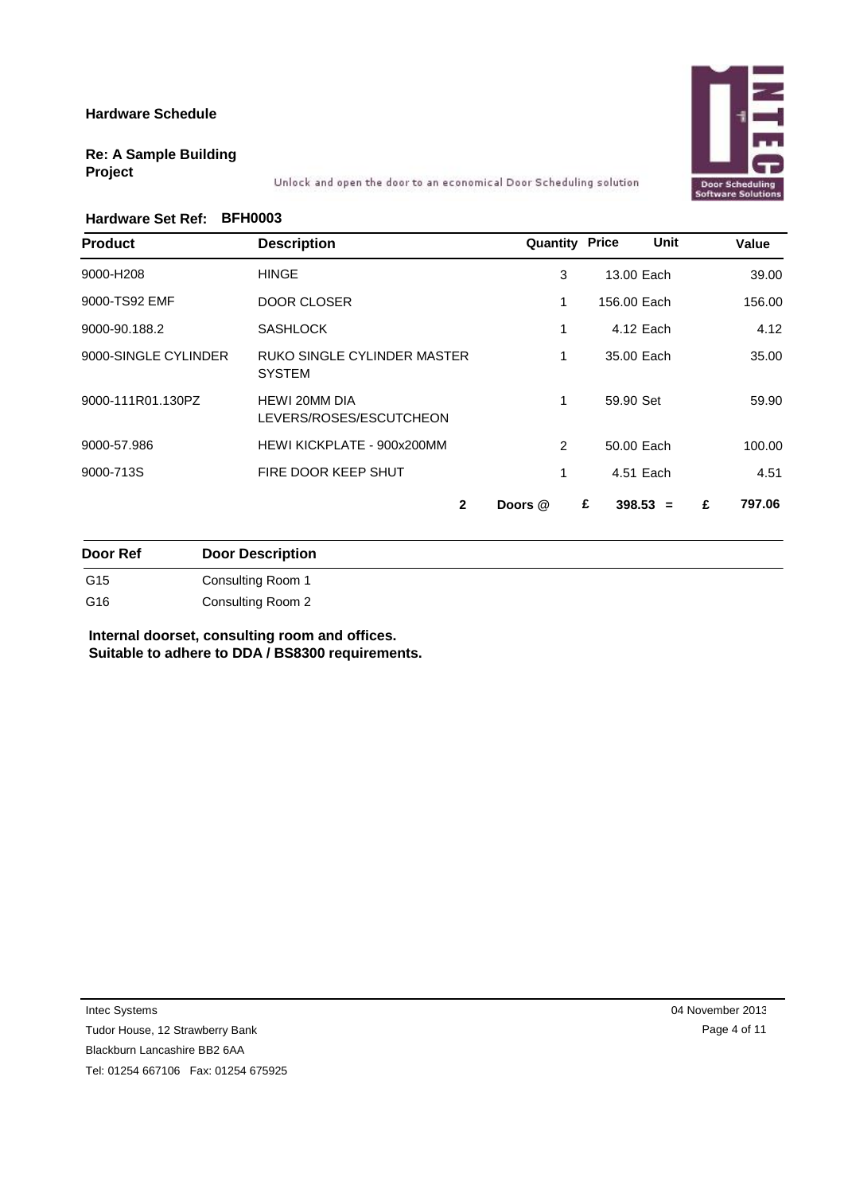## Software Solut

### **Re: A Sample Building Project**

Unlock and open the door to an economical Door Scheduling solution

### **Hardware Set Ref: BFH0003**

| <b>Product</b>       | <b>Description</b>                              | <b>Quantity Price</b> | Unit            | Value       |
|----------------------|-------------------------------------------------|-----------------------|-----------------|-------------|
| 9000-H208            | <b>HINGE</b>                                    | 3                     | 13.00 Each      | 39.00       |
| 9000-TS92 EMF        | <b>DOOR CLOSER</b>                              | 1                     | 156.00 Each     | 156.00      |
| 9000-90.188.2        | <b>SASHLOCK</b>                                 | 1                     | 4.12 Each       | 4.12        |
| 9000-SINGLE CYLINDER | RUKO SINGLE CYLINDER MASTER<br><b>SYSTEM</b>    | 1                     | 35.00 Each      | 35.00       |
| 9000-111R01.130PZ    | <b>HEWI 20MM DIA</b><br>LEVERS/ROSES/ESCUTCHEON | $\mathbf{1}$          | 59.90 Set       | 59.90       |
| 9000-57.986          | HEWI KICKPLATE - 900x200MM                      | $\overline{2}$        | 50.00 Each      | 100.00      |
| 9000-713S            | FIRE DOOR KEEP SHUT                             | 1                     | 4.51 Each       | 4.51        |
|                      | $\mathbf{2}$                                    | Doors @               | $398.53 =$<br>£ | 797.06<br>£ |

**Door Ref Door Description** G15 Consulting Room 1 G16 Consulting Room 2

**Internal doorset, consulting room and offices. Suitable to adhere to DDA / BS8300 requirements.**

Intec Systems

Tudor House, 12 Strawberry Bank

Blackburn Lancashire BB2 6AA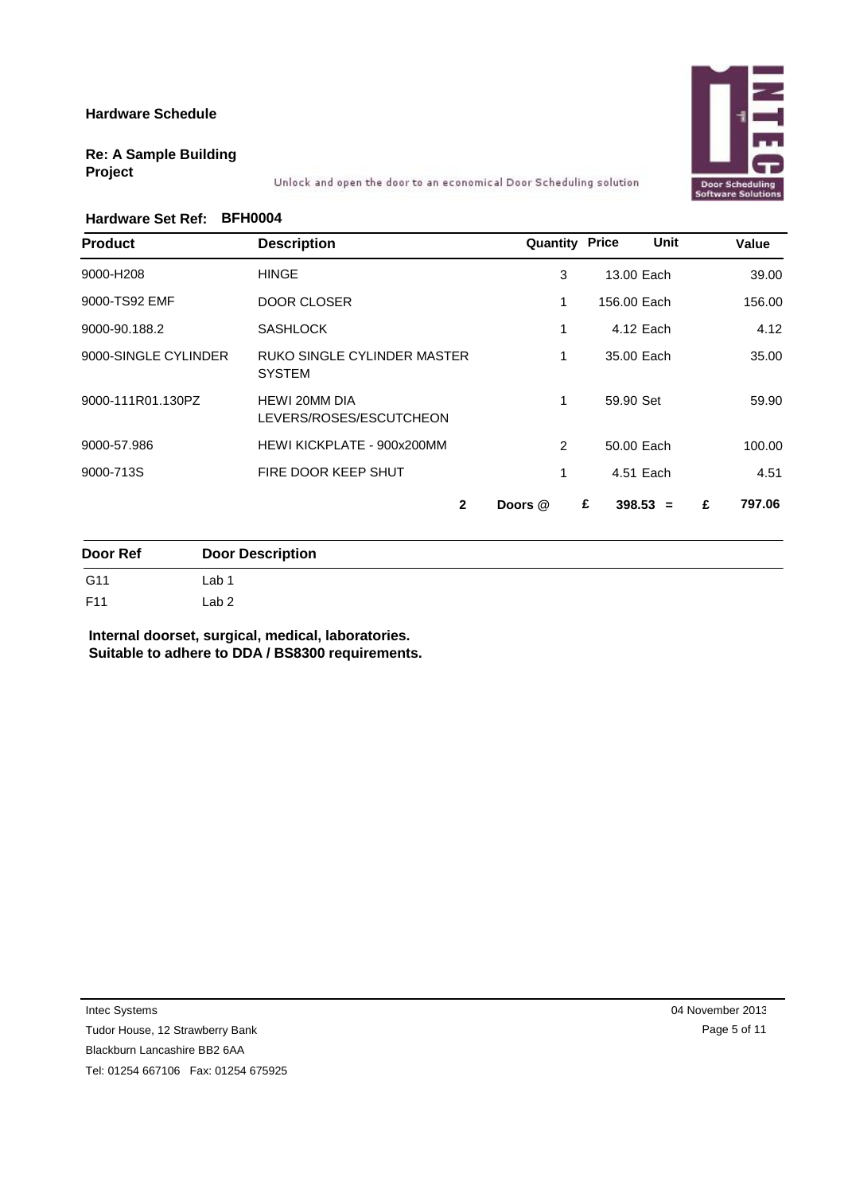

### **Re: A Sample Building Project**

Unlock and open the door to an economical Door Scheduling solution

### **Hardware Set Ref: BFH0004**

| <b>Product</b>       | <b>Description</b>                              | <b>Quantity Price</b> | Unit            | Value       |
|----------------------|-------------------------------------------------|-----------------------|-----------------|-------------|
| 9000-H208            | <b>HINGE</b>                                    | 3                     | 13.00 Each      | 39.00       |
| 9000-TS92 EMF        | DOOR CLOSER                                     | 1                     | 156.00 Each     | 156.00      |
| 9000-90.188.2        | <b>SASHLOCK</b>                                 | 1                     | 4.12 Each       | 4.12        |
| 9000-SINGLE CYLINDER | RUKO SINGLE CYLINDER MASTER<br><b>SYSTEM</b>    | 1                     | 35.00 Each      | 35.00       |
| 9000-111R01.130PZ    | <b>HEWI 20MM DIA</b><br>LEVERS/ROSES/ESCUTCHEON | $\mathbf{1}$          | 59.90 Set       | 59.90       |
| 9000-57.986          | HEWI KICKPLATE - 900x200MM                      | $\overline{2}$        | 50.00 Each      | 100.00      |
| 9000-713S            | FIRE DOOR KEEP SHUT                             | 1                     | 4.51 Each       | 4.51        |
|                      | $\mathbf{2}$                                    | Doors @               | $398.53 =$<br>£ | 797.06<br>£ |

| Door Ref | <b>Door Description</b> |
|----------|-------------------------|
| G11      | Lab 1                   |
| F11      | Lab 2                   |

**Internal doorset, surgical, medical, laboratories. Suitable to adhere to DDA / BS8300 requirements.**

Intec Systems

Tudor House, 12 Strawberry Bank

Blackburn Lancashire BB2 6AA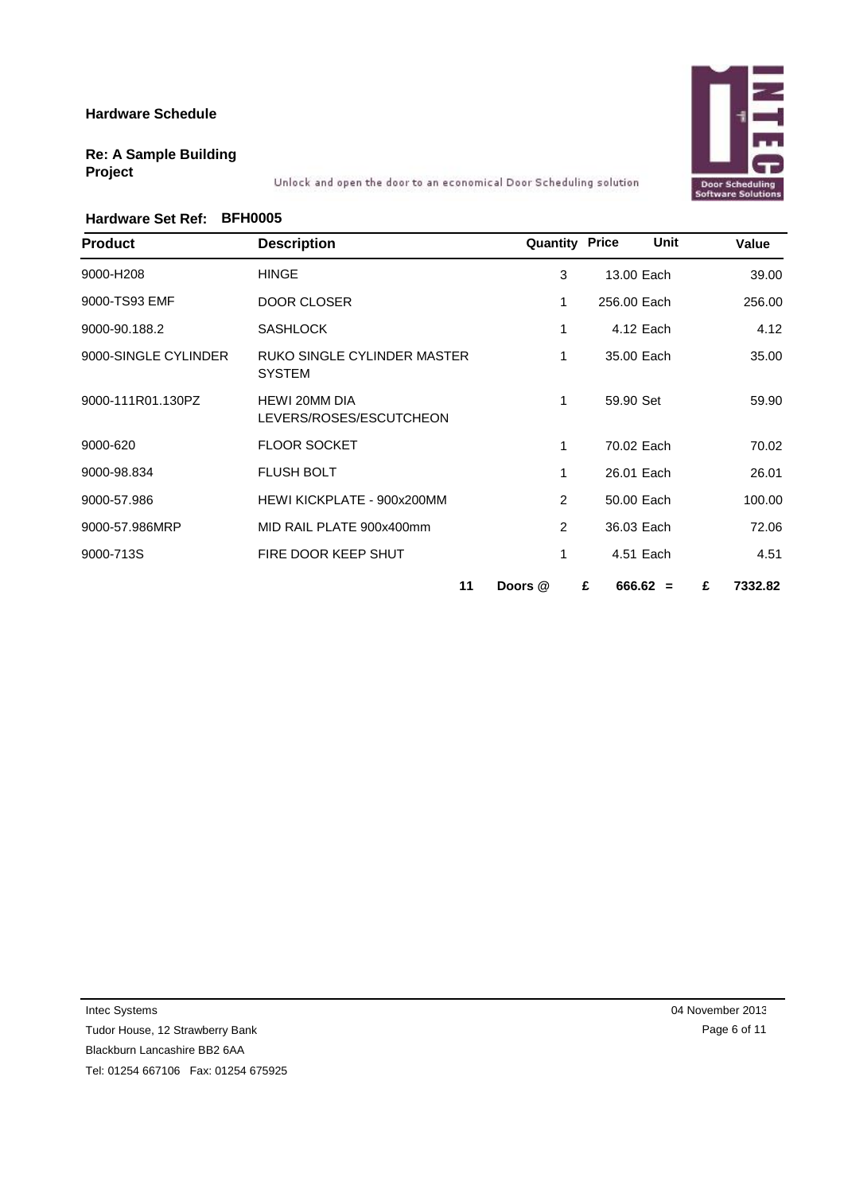# **Door Scheduling**<br>Software Solution

### **Re: A Sample Building Project**

Unlock and open the door to an economical Door Scheduling solution

### **Hardware Set Ref: BFH0005**

| <b>Product</b>       | <b>Description</b>                                  | <b>Quantity Price</b> | Unit            | Value        |
|----------------------|-----------------------------------------------------|-----------------------|-----------------|--------------|
| 9000-H208            | <b>HINGE</b>                                        | 3                     | 13.00 Each      | 39.00        |
| 9000-TS93 EMF        | DOOR CLOSER                                         | 1                     | 256.00 Each     | 256.00       |
| 9000-90.188.2        | <b>SASHLOCK</b>                                     | 1                     | 4.12 Each       | 4.12         |
| 9000-SINGLE CYLINDER | <b>RUKO SINGLE CYLINDER MASTER</b><br><b>SYSTEM</b> | $\mathbf{1}$          | 35.00 Each      | 35.00        |
| 9000-111R01.130PZ    | <b>HEWI 20MM DIA</b><br>LEVERS/ROSES/ESCUTCHEON     | 1                     | 59.90 Set       | 59.90        |
| 9000-620             | <b>FLOOR SOCKET</b>                                 | $\mathbf{1}$          | 70.02 Each      | 70.02        |
| 9000-98.834          | <b>FLUSH BOLT</b>                                   | 1                     | 26.01 Each      | 26.01        |
| 9000-57.986          | HEWI KICKPLATE - 900x200MM                          | 2                     | 50.00 Each      | 100.00       |
| 9000-57.986MRP       | MID RAIL PLATE 900x400mm                            | 2                     | 36.03 Each      | 72.06        |
| 9000-713S            | FIRE DOOR KEEP SHUT                                 | 1                     | 4.51 Each       | 4.51         |
|                      | 11                                                  | Doors @               | $666.62 =$<br>£ | 7332.82<br>£ |

Intec Systems

Tudor House, 12 Strawberry Bank Blackburn Lancashire BB2 6AA

Tel: 01254 667106 Fax: 01254 675925

04 November 2013 Page 6 of 11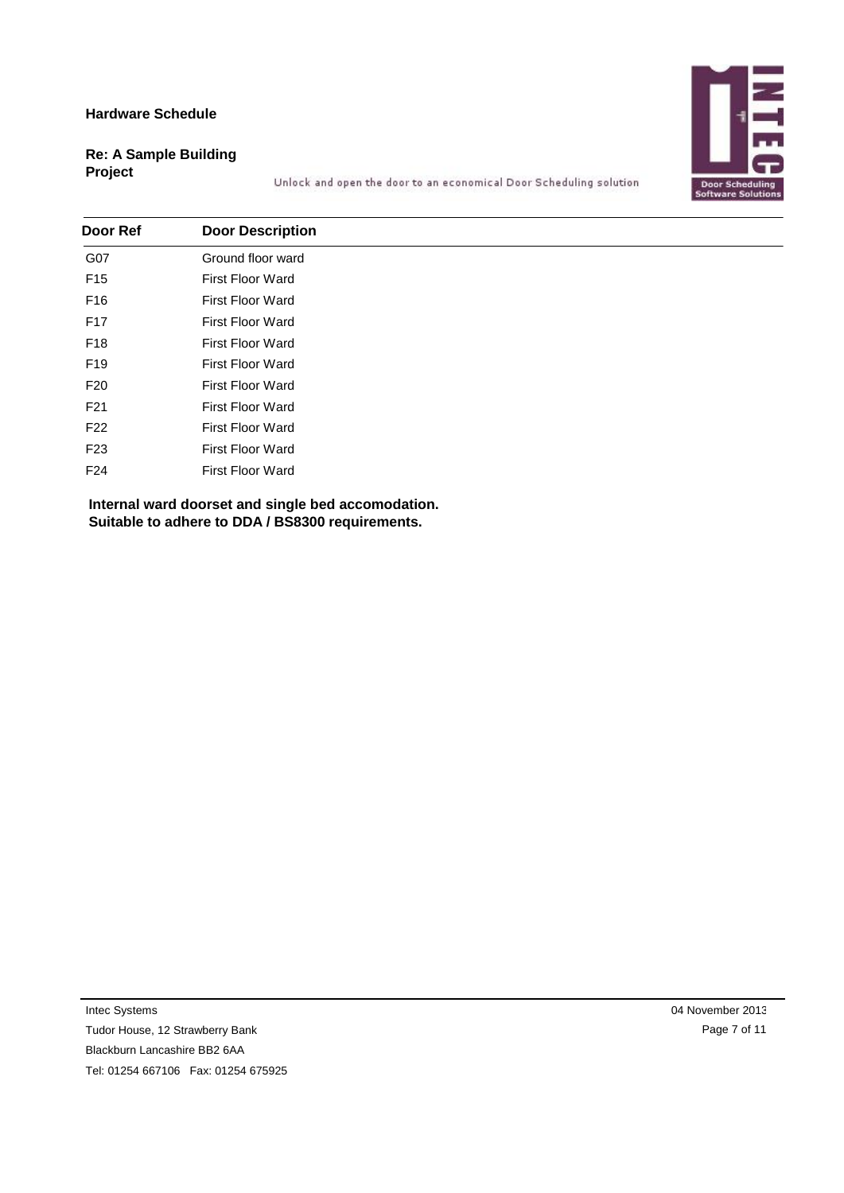

### **Re: A Sample Building Project**

Unlock and open the door to an economical Door Scheduling solution

| Door Ref        | <b>Door Description</b> |
|-----------------|-------------------------|
| G07             | Ground floor ward       |
| F <sub>15</sub> | First Floor Ward        |
| F16             | First Floor Ward        |
| F17             | <b>First Floor Ward</b> |
| F18             | <b>First Floor Ward</b> |
| F19             | <b>First Floor Ward</b> |
| F <sub>20</sub> | <b>First Floor Ward</b> |
| F21             | <b>First Floor Ward</b> |
| F <sub>22</sub> | <b>First Floor Ward</b> |
| F <sub>23</sub> | <b>First Floor Ward</b> |
| F24             | <b>First Floor Ward</b> |

**Internal ward doorset and single bed accomodation. Suitable to adhere to DDA / BS8300 requirements.**

Intec Systems

Tudor House, 12 Strawberry Bank Blackburn Lancashire BB2 6AA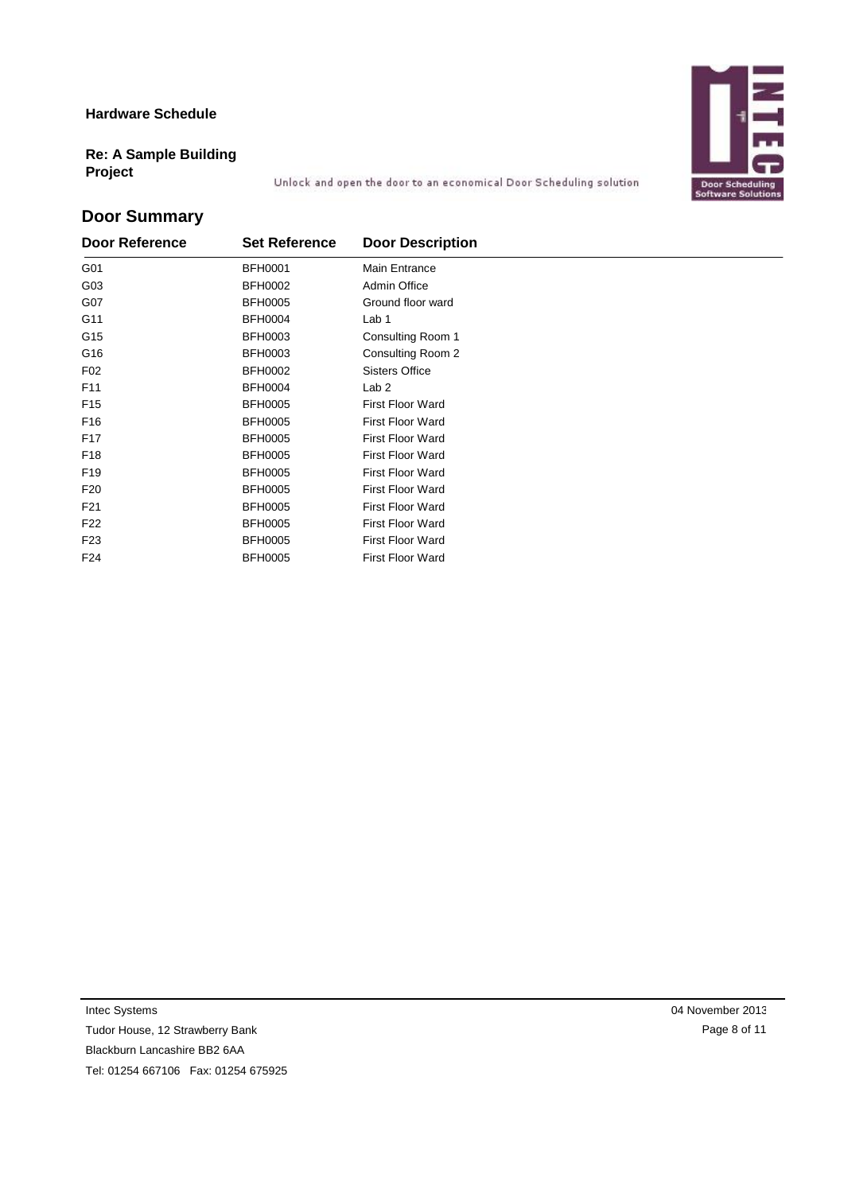# **Door Scheduling**<br>Software Solution

### **Re: A Sample Building Project**

Unlock and open the door to an economical Door Scheduling solution

### **Door Summary**

| Door Reference  | <b>Set Reference</b> | <b>Door Description</b> |
|-----------------|----------------------|-------------------------|
| G01             | <b>BFH0001</b>       | Main Entrance           |
| G03             | <b>BFH0002</b>       | Admin Office            |
| G07             | <b>BFH0005</b>       | Ground floor ward       |
| G11             | <b>BFH0004</b>       | Lab 1                   |
| G15             | <b>BFH0003</b>       | Consulting Room 1       |
| G16             | <b>BFH0003</b>       | Consulting Room 2       |
| F <sub>02</sub> | <b>BFH0002</b>       | <b>Sisters Office</b>   |
| F11             | <b>BFH0004</b>       | Lab <sub>2</sub>        |
| F <sub>15</sub> | <b>BFH0005</b>       | <b>First Floor Ward</b> |
| F <sub>16</sub> | <b>BFH0005</b>       | <b>First Floor Ward</b> |
| F <sub>17</sub> | <b>BFH0005</b>       | <b>First Floor Ward</b> |
| F <sub>18</sub> | <b>BFH0005</b>       | <b>First Floor Ward</b> |
| F <sub>19</sub> | <b>BFH0005</b>       | <b>First Floor Ward</b> |
| F <sub>20</sub> | <b>BFH0005</b>       | <b>First Floor Ward</b> |
| F21             | <b>BFH0005</b>       | <b>First Floor Ward</b> |
| F22             | <b>BFH0005</b>       | First Floor Ward        |
| F <sub>23</sub> | <b>BFH0005</b>       | <b>First Floor Ward</b> |
| F24             | <b>BFH0005</b>       | <b>First Floor Ward</b> |

Intec Systems

Tudor House, 12 Strawberry Bank

Blackburn Lancashire BB2 6AA

Tel: 01254 667106 Fax: 01254 675925

04 November 2013 Page 8 of 11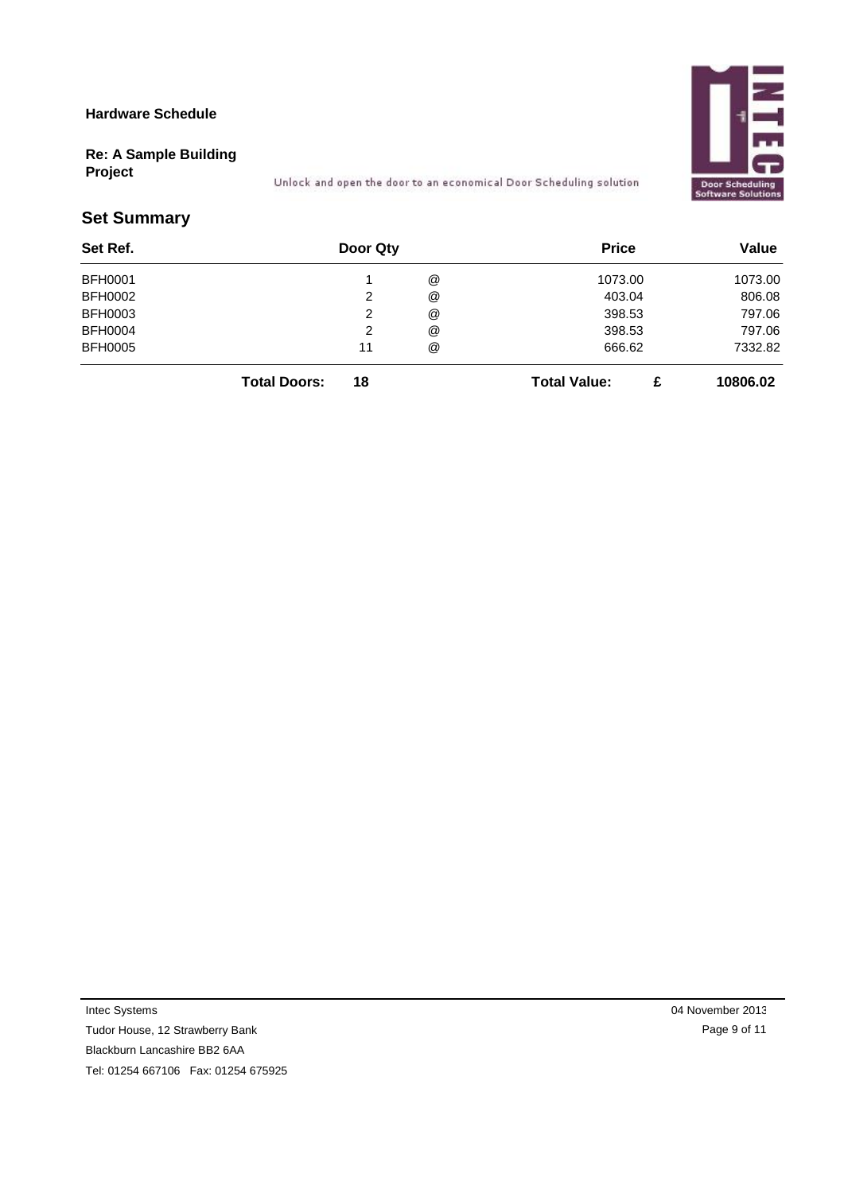

### **Re: A Sample Building**

**Project**

Unlock and open the door to an economical Door Scheduling solution

### **Set Summary**

| Set Ref.       | Door Qty |   | <b>Price</b> | Value   |
|----------------|----------|---|--------------|---------|
| <b>BFH0001</b> |          | @ | 1073.00      | 1073.00 |
| <b>BFH0002</b> |          | @ | 403.04       | 806.08  |
| <b>BFH0003</b> | ∸        | @ | 398.53       | 797.06  |
| <b>BFH0004</b> | _        | @ | 398.53       | 797.06  |
| <b>BFH0005</b> | 11       | @ | 666.62       | 7332.82 |
|                |          |   |              |         |

**Total Doors: 18 Total Value: £ 10806.02**

Intec Systems

Tudor House, 12 Strawberry Bank Blackburn Lancashire BB2 6AA

Tel: 01254 667106 Fax: 01254 675925

04 November 2013 Page 9 of 11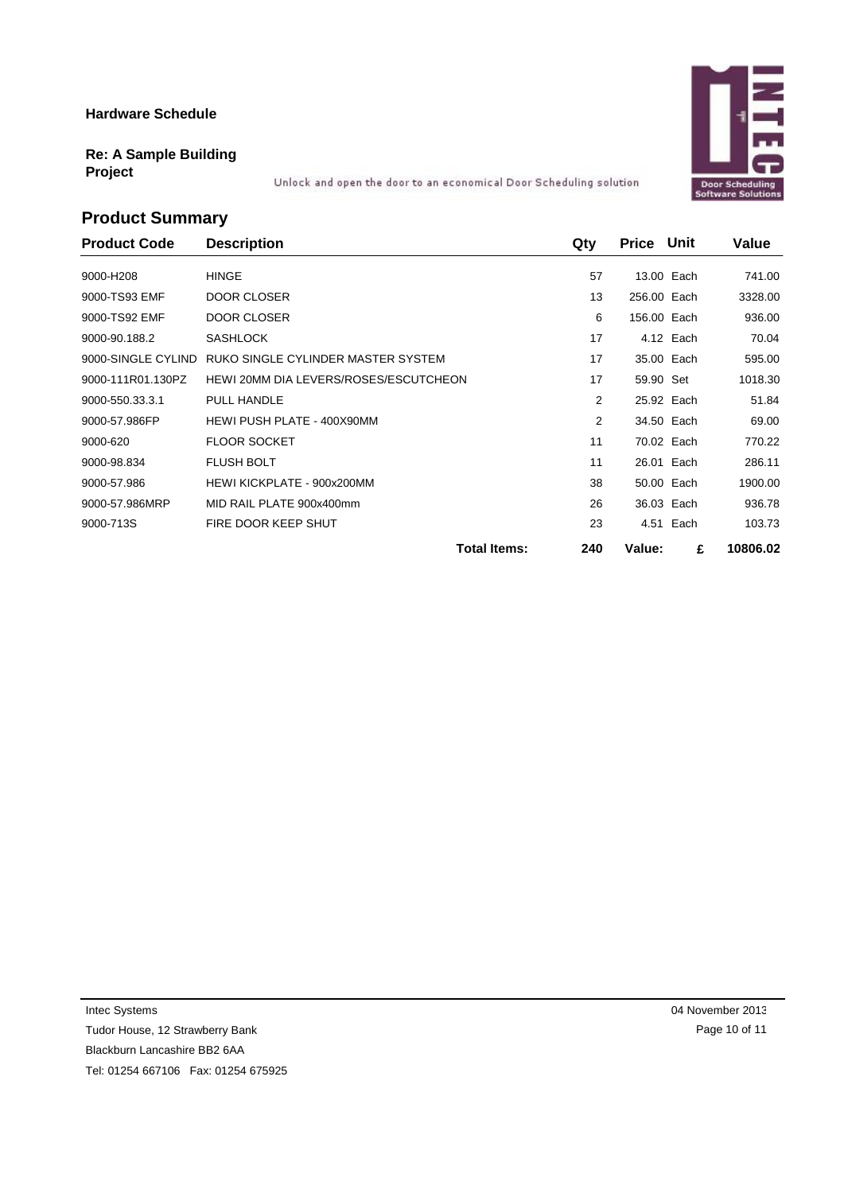### **Re: A Sample Building Project**

Unlock and open the door to an economical Door Scheduling solution

### **Product Summary**

| <b>Product Code</b> | <b>Description</b>                    | Qty                        | <b>Price Unit</b> |            | Value    |
|---------------------|---------------------------------------|----------------------------|-------------------|------------|----------|
| 9000-H208           | <b>HINGE</b>                          | 57                         |                   | 13.00 Each | 741.00   |
| 9000-TS93 EMF       | DOOR CLOSER                           | 13                         | 256.00 Each       |            | 3328.00  |
| 9000-TS92 EMF       | <b>DOOR CLOSER</b>                    | 6                          | 156.00 Each       |            | 936.00   |
| 9000-90.188.2       | <b>SASHLOCK</b>                       | 17                         |                   | 4.12 Each  | 70.04    |
| 9000-SINGLE CYLIND  | RUKO SINGLE CYLINDER MASTER SYSTEM    | 17                         |                   | 35.00 Each | 595.00   |
| 9000-111R01.130PZ   | HEWI 20MM DIA LEVERS/ROSES/ESCUTCHEON | 17                         | 59.90 Set         |            | 1018.30  |
| 9000-550.33.3.1     | PULL HANDLE                           | 2                          |                   | 25.92 Each | 51.84    |
| 9000-57.986FP       | HEWI PUSH PLATE - 400X90MM            | 2                          |                   | 34.50 Each | 69.00    |
| 9000-620            | <b>FLOOR SOCKET</b>                   | 11                         |                   | 70.02 Each | 770.22   |
| 9000-98.834         | <b>FLUSH BOLT</b>                     | 11                         |                   | 26.01 Each | 286.11   |
| 9000-57.986         | HEWI KICKPLATE - 900x200MM            | 38                         |                   | 50.00 Each | 1900.00  |
| 9000-57.986MRP      | MID RAIL PLATE 900x400mm              | 26                         |                   | 36.03 Each | 936.78   |
| 9000-713S           | FIRE DOOR KEEP SHUT                   | 23                         |                   | 4.51 Each  | 103.73   |
|                     |                                       | <b>Total Items:</b><br>240 | Value:            | £          | 10806.02 |

Intec Systems

Tudor House, 12 Strawberry Bank Blackburn Lancashire BB2 6AA